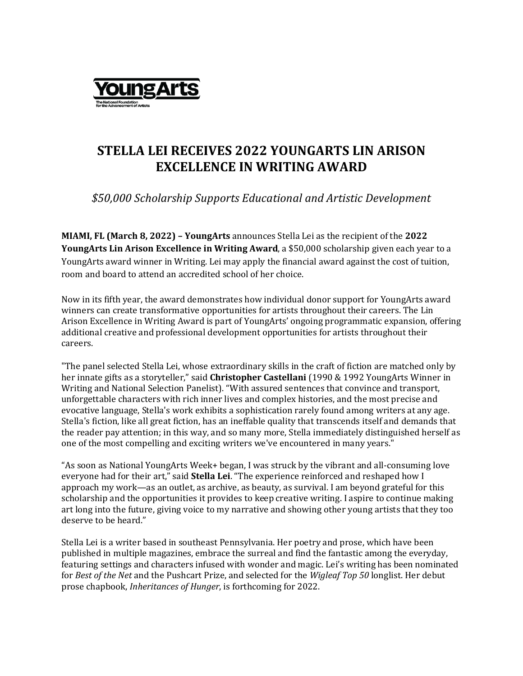

## **STELLA LEI RECEIVES 2022 YOUNGARTS LIN ARISON EXCELLENCE IN WRITING AWARD**

*\$50,000 Scholarship Supports Educational and Artistic Development*

**MIAMI, FL (March 8, 2022) – YoungArts** announces Stella Lei as the recipient of the **2022 YoungArts Lin Arison Excellence in Writing Award**, a \$50,000 scholarship given each year to a YoungArts award winner in Writing. Lei may apply the financial award against the cost of tuition, room and board to attend an accredited school of her choice.

Now in its fifth year, the award demonstrates how individual donor support for YoungArts award winners can create transformative opportunities for artists throughout their careers. The Lin Arison Excellence in Writing Award is part of YoungArts' ongoing programmatic expansion, offering additional creative and professional development opportunities for artists throughout their careers.

"The panel selected Stella Lei, whose extraordinary skills in the craft of fiction are matched only by her innate gifts as a storyteller," said **Christopher Castellani** (1990 & 1992 YoungArts Winner in Writing and National Selection Panelist). "With assured sentences that convince and transport, unforgettable characters with rich inner lives and complex histories, and the most precise and evocative language, Stella's work exhibits a sophistication rarely found among writers at any age. Stella's fiction, like all great fiction, has an ineffable quality that transcends itself and demands that the reader pay attention; in this way, and so many more, Stella immediately distinguished herself as one of the most compelling and exciting writers we've encountered in many years."

"As soon as National YoungArts Week+ began, I was struck by the vibrant and all-consuming love everyone had for their art," said **Stella Lei**. "The experience reinforced and reshaped how I approach my work—as an outlet, as archive, as beauty, as survival. I am beyond grateful for this scholarship and the opportunities it provides to keep creative writing. I aspire to continue making art long into the future, giving voice to my narrative and showing other young artists that they too deserve to be heard."

Stella Lei is a writer based in southeast Pennsylvania. Her poetry and prose, which have been published in multiple magazines, embrace the surreal and find the fantastic among the everyday, featuring settings and characters infused with wonder and magic. Lei's writing has been nominated for *Best of the Net* and the Pushcart Prize, and selected for the *Wigleaf Top 50* longlist. Her debut prose chapbook, *Inheritances of Hunger*, is forthcoming for 2022.